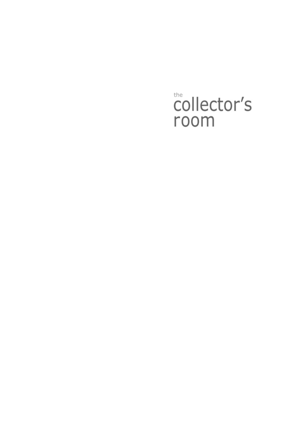## the collector's room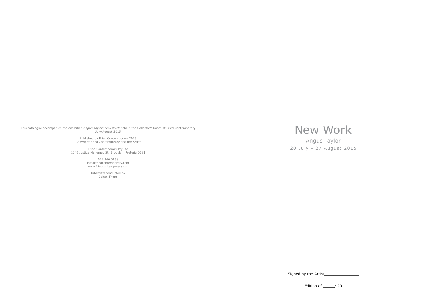This catalogue accompanies the exhibition *Angus Taylor: New Work* held in the Collector's Room at Fried Contemporary July/August 2015

> Published by Fried Contemporary 2015 Copyright Fried Contemporary and the Artist

Fried Contemporary Pty Ltd 1146 Justice Mahomed St, Brooklyn, Pretoria 0181

> 012 346 0158 info@friedcontemporary.com www.friedcontemporary.com

> > Interview conducted by Johan Thom

New Work

Angus Taylor

20 July - 27 August 2015

Signed by the Artist\_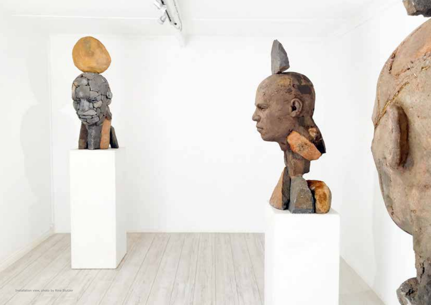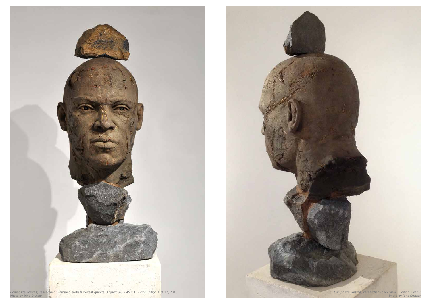

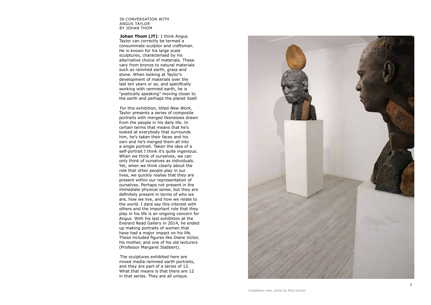## IN CONVERSATION WITH ANGUS TAYLOR BY JOHAN THOM

**Johan Thom (JT)**: I think Angus Taylor can correctly be termed a consummate sculptor and craftsman. He is known for his large scale sculptures, characterised by his alternative choice of materials. These vary from bronze to natural materials such as rammed earth, grass and stone. When looking at Taylor's development of materials over the last ten years or so, and specifically working with rammed earth, he is "poetically speaking" moving closer to the earth and perhaps the planet itself.

For this exhibition, titled *New Work*, Taylor presents a series of composite portraits with merged likenesses drawn from the people in his daily life. In certain terms that means that he's looked at everybody that surrounds him, he's taken their faces and his own and he's merged them all into a single portrait. Taken the idea of a self-portrait I think it's quite ingenious. When we think of ourselves, we can only think of ourselves as individuals. Yet, when we think clearly about the role that other people play in our lives, we quickly realise that they are present within our representation of ourselves. Perhaps not present in the immediate physical sense, but they are definitely present in terms of who we are, how we live, and how we relate to the world. I dare say this interest with others and the important role that they play in his life is an ongoing concern for Angus. With his last exhibition at the Everard Read Gallery in 2014, he ended up making portraits of women that have had a major impact on his life. These included figures like Diane Victor, his mother, and one of his old lecturers (Professor Margaret Slabbert).

The sculptures exhibited here are mixed media rammed earth portraits, and they are part of a series of 12. What that means is that there are 12 in that series. They are all unique.

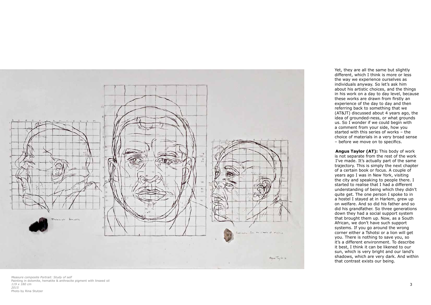Yet, they are all the same but slightly different, which I think is more or less the way we experience ourselves as individuals anyway. So let's ask him about his artistic choices, and the things in his work on a day to day level, because these works are drawn from firstly an experience of the day to day and then referring back to something that we (AT&JT) discussed about 4 years ago, the idea of grounded-ness, or what grounds us. So I wonder if we could begin with a comment from your side, how you started with this series of works – the choice of materials in a very broad sense – before we move on to specifics.

**Angus Taylor (AT):** This body of work is not separate from the rest of the work I've made. It's actually part of the same trajectory. This is simply the next chapter of a certain book or focus. A couple of years ago I was in New York, visiting the city and speaking to people there. I started to realise that I had a different understanding of being which they didn't quite get. The one person I spoke to in a hostel I stayed at in Harlem, grew up on welfare. And so did his father and so did his grandfather. So three generations down they had a social support system that brought them up. Now, as a South African, we don't have such support systems. If you go around the wrong corner either a Tshotsi or a lion will get you. There is nothing to save you, so it's a different environment. To describe it best, I think it can be likened to our sun, which is very bright and our land's shadows, which are very dark. And within that contrast exists our being.



*Measure composite Portrait: Study of self*  Painting in dolomite, hematite & anthracite pigment with linseed oil *119 x 180 cm 2015* Photo by Rina Stutzer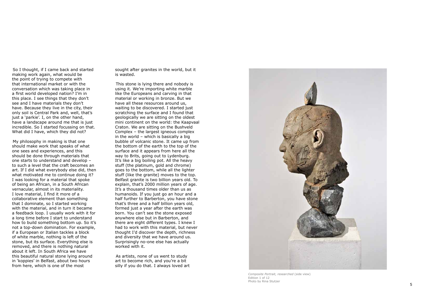sought after granites in the world, but it is wasted.

This stone is lying there and nobody is using it. We're importing white marble like the Europeans and carving in that material or working in bronze. But we have all these resources around us, waiting to be discovered. I started just scratching the surface and I found that geologically we are sitting on the oldest mini continent on the world: the Kaapvaal Craton. We are sitting on the Bushveld Complex – the largest igneous complex in the world – which is basically a big bubble of volcanic stone. It came up from the bottom of the earth to the top of the surface and it appears from here all the way to Brits, going out to Lydenburg. It's like a big boiling pot. All the heavy stuff (the platinum, gold and chrome) goes to the bottom, while all the lighter stuff (like the granite) moves to the top. Belfast granite is two billion years old. To explain, that's 2000 million years of age. It's a thousand times older than us as humanoids. If you just go an hour and a half further to Barberton, you have stone that's three and a half billion years old, formed just a year after the earth was born. You can't see the stone exposed anywhere else but in Barberton, and there are eight different types. I knew I had to work with this material, but never thought I'd discover the depth, richness and diversity that we have around us. Surprisingly no-one else has actually worked with it.

As artists, none of us went to study art to become rich, and you're a bit silly if you do that. I always loved art

So I thought, if I came back and started making work again, what would be the point of trying to compete with that international market or with the conversation which was taking place in a first world developed nation? I'm in this place. I see things that they don't see and I have materials they don't have. Because they live in the city, their only soil is Central Park and, well, that's just a 'parkie'. I, on the other hand, have a landscape around me that is just incredible. So I started focussing on that. What did I have, which they did not?

My philosophy in making is that one should make work that speaks of what one sees and experiences, and this should be done through materials that one starts to understand and develop – to such a level that the craft becomes an art. If I did what everybody else did, then what motivated me to continue doing it? I was looking for a material that spoke of being an African, in a South African vernacular, almost in its materiality. I love material, I find it more of a collaborative element than something that I dominate, so I started working with the material, and in turn it became a feedback loop. I usually work with it for a long time before I start to understand how to build something bottom up. So it's not a top-down domination. For example, if a European or Italian tackles a block of white marble, nothing is left of the stone, but its surface. Everything else is removed, and there is nothing natural about it left. In South Africa we have this beautiful natural stone lying around in 'koppies' in Belfast, about two hours from here, which is one of the most



*Composite Portrait, researched* (side view) Edition 1 of 12 Photo by Rina Stutzer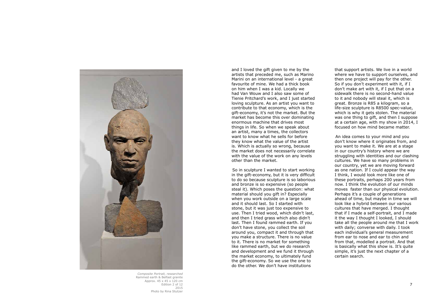and I loved the gift given to me by the artists that preceded me, such as Marino Marini on an international level - a great favourite of mine. We had a thick book on him when I was a kid. Locally we had Van Wouw and I also saw some of Tienie Pritchard's work, and I just started loving sculpture. As an artist you want to contribute to that economy, which is the gift-economy, it's not the market. But the market has become this over dominating enormous machine that drives most things in life. So when we speak about an artist, many a times, the collectors want to know what he sells for before they know what the value of the artist is. Which is actually so wrong, because the market does not necessarily correlate with the value of the work on any levels other than the market.

So in sculpture I wanted to start working in the gift-economy, but it is very difficult to do so because sculpture is so laborious and bronze is so expensive (so people steal it). Which poses the question: what material should you gift in? Especially when you work outside on a large scale and it should last. So I started with stone, but it was just too expensive to use. Then I tried wood, which didn't last, and then I tried grass which also didn't last. Then I found rammed earth. If you don't have stone, you collect the soil around you, compact it and through that you make a structure. There is no value to it. There is no market for something like rammed earth, but we do research and development and we fund it through the market economy, to ultimately fund the gift-economy. So we use the one to do the other. We don't have institutions

that support artists. We live in a world where we have to support ourselves, and then one project will pay for the other. So if you don't experiment with it, if I don't make art with it, if I put that on a sidewalk there is no second-hand value to it and nobody will steal it, which is great. Bronze is R85 a kilogram, so a life-size sculpture is R8500 spec-value, which is why it gets stolen. The material was one thing to gift, and then I suppose at a certain age, with my show in 2014, I focused on how mind became matter.

An idea comes to your mind and you don't know where it originates from, and you want to make it. We are at a stage in our country's history where we are struggling with identities and our clashing cultures. We have so many problems in our country, yet we are moving forward as one nation. If I could appear the way I think, I would look more like one of these portraits, perhaps 200 years from now. I think the evolution of our minds moves faster than our physical evolution. Perhaps it's a couple of generations ahead of time, but maybe in time we will look like a hybrid between our various cultures that have merged. I thought that if I made a self-portrait, and I made it the way I thought I looked, I should take all the people around me that I work with daily; converse with daily. I took each individual's general measurement from ear to nose and ear to chin and from that, modelled a portrait. And that is basically what this show is. It's quite simple, it's just the next chapter of a certain search.



*Composite Portrait, researched* Rammed earth & Belfast granite Approx. 45 x 45 x 120 cm Edition 2 of 12 2015 Photo by Rina Stutzer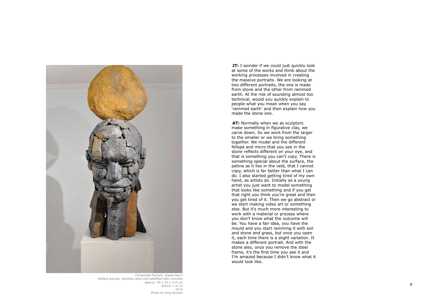

*Composite Portrait, researched I* Belfast granite, stainless steel and solidified with concrete Approx. 45 x 45 x 110 cm Edition 1 of 12 2015 Photo by Rina Stutzer

**JT:** I wonder if we could just quickly look at some of the works and think about the working processes involved in creating the massive portraits. We are looking at two different portraits, the one is made from stone and the other from rammed earth. At the risk of sounding almost too technical, would you quickly explain to people what you mean when you say 'rammed earth' and then explain how you made the stone one.

**AT:** Normally when we as sculptors make something in figurative clay, we carve down. So we work from the larger to the smaller or we bring something together. We model and the different fellspa and micro that you see in the stone reflects different on your eye, and that is something you can't copy. There is something special about the surface, the patina as it lies in the veld, that I cannot copy, which is far better than what I can do. I also started getting tired of my own hand, as artists do. Initially as a young artist you just want to model something that looks like something and if you get that right you think you're great and then you get tired of it. Then we go abstract or we start making video art or something else. But it's much more interesting to work with a material or process where you don't know what the outcome will be. You have a fair idea, you have the mould and you start ramming it with soil and stone and grass, but once you open it, each time there is a slight variation. It makes a different portrait. And with the stone also, once you remove the steel frame, it's the first time you see it and I'm amazed because I didn't know what it would look like.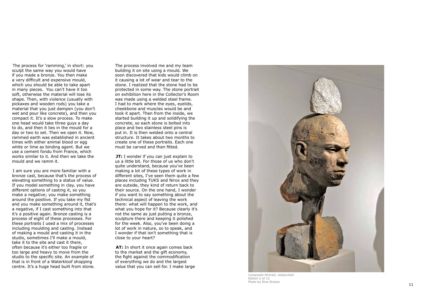The process involved me and my team building it on site using a mould. We soon discovered that kids would climb on it causing a lot of wear and tear to the stone. I realized that the stone had to be protected in some way. The stone portrait on exhibition here in the Collector's Room was made using a welded steel frame. I had to mark where the eyes, eyelids, cheekbone and muscles would be and took it apart. Then from the inside, we started building it up and solidifying the concrete, so each stone is bolted into place and two stainless steel pins is put in. It is then welded onto a central structure. It takes about two months to create one of these portraits. Each one must be carved and then fitted.

**JT:** I wonder if you can just explain to us a little bit. For those of us who don't quite understand, because you've been making a lot of these types of work in different sites, I've seen them quite a few places including TUKS and Nirox and they are outside, they kind of return back to their source. On the one hand, I wonder if you want to say something about the technical aspect of leaving the work there: what will happen to the work, and what you hope for it? Because clearly it's not the same as just putting a bronze, sculpture there and keeping it polished for the week. Also, you've been doing a lot of work in nature, so to speak, and I wonder if that isn't something that is close to your heart?

**AT:** In short it once again comes back to the market and the gift economy, the fight against the commodification of everything we do and the largest value that you can sell for. I make large



*Composite Portrait, researched* Edition 2 of 12 Photo by Rina Stutzer

The process for 'ramming,' in short: you sculpt the same way you would have if you made a bronze. You then make a very difficult and expensive mould, which you should be able to take apart in many pieces. You can't have it too soft, otherwise the material will lose its shape. Then, with violence (usually with pickaxes and wooden rods) you take a material that you just dampen (you don't wet and pour like concrete), and then you compact it. It's a slow process. To make one head would take three guys a day to do, and then it lies in the mould for a day or two to set. Then we open it. Now, rammed earth was established in ancient times with either animal blood or egg white or lime as binding agent. But we use a cement fondu from France, which works similar to it. And then we take the mould and we ramm it.

I am sure you are more familiar with a bronze cast, because that's the process of elevating something to a status of value. If you model something in clay, you have different options of casting it, so you make a negative; you make something around the positive. If you take my fist and you make something around it, that's a negative, if I cast something into that it's a positive again. Bronze casting is a process of eight of these processes. For these portraits I used a mix of processes including moulding and casting. Instead of making a mould and casting it in the studio, sometimes I'll make a mould, take it to the site and cast it there, often because it's either too fragile or too large and heavy to move from the studio to the specific site. An example of that is in front of a Waterkloof shopping centre. It's a huge head built from stone.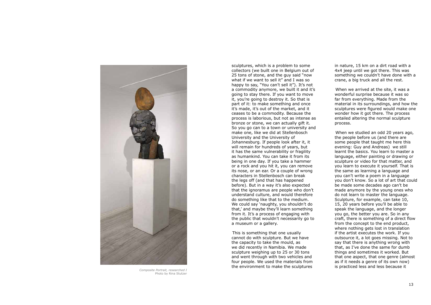sculptures, which is a problem to some collectors (we built one in Belgium out of 25 tons of stone, and the guy said "now what if we want to sell it" and I was so happy to say, "You can't sell it"). It's not a commodity anymore, we built it and it's going to stay there. If you want to move it, you're going to destroy it. So that is part of it: to make something and once it's made, it's out of the market, and it ceases to be a commodity. Because the process is laborious, but not as intense as bronze or stone, we can actually gift it. So you go can to a town or university and make one, like we did at Stellenbosch University and the University of Johannesburg. If people look after it, it will remain for hundreds of years, but it has the same vulnerability or fragility as humankind. You can take it from its being in one day. If you take a hammer or a rock and you hit it, you can remove its nose, or an ear. Or a couple of wrong characters in Stellenbosch can break the legs off (and that has happened before). But in a way it's also expected that the ignoramus are people who don't understand culture, and would therefore do something like that to the medium. We could say 'naughty, you shouldn't do that,' and maybe they'll learn something from it. It's a process of engaging with the public that wouldn't necessarily go to a museum or a gallery.

This is something that one usually cannot do with sculpture. But we have the capacity to take the mould, as we did recently in Namibia. We made sculpture weighing up to 25 or 30 tons and went through with two vehicles and four people. We used the materials from the environment to make the sculptures

When we studied an odd 20 years ago, the people before us (and there are some people that taught me here this evening: Guy and Andreas) we still learnt the basics. You learn to master a language, either painting or drawing or sculpture or video for that matter, and you learn to execute it yourself. That is the same as learning a language and you can't write a poem in a language you don't know. So a lot of art that could be made some decades ago can't be made anymore by the young ones who do not learn to master the language. Sculpture, for example, can take 10, 15, 20 years before you'll be able to speak the language, and the longer you go, the better you are. So in any craft, there is something of a direct flow from the concept to the end product, where nothing gets lost in translation if the artist executes the work. If you outsource it, a lot goes missing. Not to say that there is anything wrong with that, as I've done the same for dumb things and sometimes it worked. But that one aspect, that one genre (almost as if it needs a genre of its own now) is practiced less and less because it

in nature, 15 km on a dirt road with a 4x4 jeep until we got there. This was something we couldn't have done with a crane, a big truck and all the rest.

When we arrived at the site, it was a wonderful surprise because it was so far from everything. Made from the material in its surroundings, and how the sculptures were figured would make one wonder how it got there. The process entailed altering the normal sculpture process.



*Composite Portrait, researched I* Photo by Rina Stutzer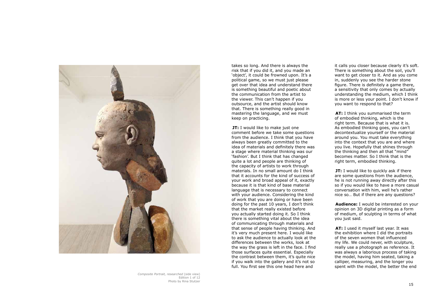takes so long. And there is always the risk that if you did it, and you made an 'object', it could be frowned upon. It's a political game, so we must just please get over that idea and understand there is something beautiful and poetic about the communication from the artist to the viewer. This can't happen if you outsource, and the artist should know that. There is something really good in mastering the language, and we must keep on practicing.

**JT:** I would like to make just one comment before we take some questions from the audience. I think that you have always been greatly committed to the idea of materials and definitely there was a stage where material thinking was our 'fashion'. But I think that has changed quite a lot and people are thinking of the capacity of artists to work through materials. In no small amount do I think that it accounts for the kind of success of your work and broad appeal of it, exactly because it is that kind of base material language that is necessary to connect with your audience. Considering the kind of work that you are doing or have been doing for the past 10 years, I don't think that the market really existed before you actually started doing it. So I think there is something vital about the idea of communicating through materials and that sense of people having thinking. And it's very much present here. I would like to ask the audience to actually look at the differences between the works, look at the way the grass is left in the face. I find those surfaces quite essential. Especially the contrast between them, it's quite nice if you walk into the gallery and it's not so full. You first see this one head here and

**JT:** I would like to quickly ask if there are some questions from the audience, he is not running away directly after this so if you would like to have a more casual conversation with him, well he's rather nice so… But if there are any questions?

it calls you closer because clearly it's soft. There is something about the soil, you'll want to get closer to it. And as you come in, suddenly you see the harder stone figure. There is definitely a game there, a sensitivity that only comes by actually understanding the medium, which I think is more or less your point. I don't know if you want to respond to that?

**AT:** I think you summarised the term of embodied thinking, which is the right term. Because that is what it is. As embodied thinking goes, you can't decontextualize yourself or the material around you. You must take everything into the context that you are and where you live. Hopefully that shines through the thinking and then all that "mind" becomes matter. So I think that is the right term, embodied thinking.

**Audience:** I would be interested on your opinion on 3D digital printing as a form of medium, of sculpting in terms of what you just said.

**AT:** I used it myself last year. It was the exhibition where I did the portraits of the seven women that influenced my life. We could never, with sculpture, really use a photograph as reference. It was always a laborious process of taking the model, having him seated, taking a calliper, measuring, and the longer you spent with the model, the better the end



*Composite Portrait, researched* (side view) Edition 1 of 12 Photo by Rina Stutzer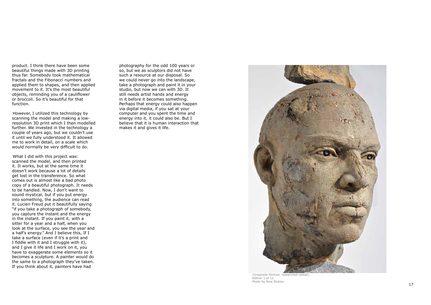product. I think there have been some beautiful things made with 3D printing thus far. Somebody took mathematical fractals and the Fibonacci numbers and applied them to shapes, and then applied movement to it. It's the most beautiful objects, reminding you of a cauliflower or broccoli. So it's beautiful for that function.

However, I utilized this technology by scanning the model and making a lowresolution 3D print which I then modelled further. We invested in the technology a couple of years ago, but we couldn't use it until we fully understood it. It allowed me to work in detail, on a scale which would normally be very difficult to do.

What I did with this project was: scanned the model, and then printed it. It works, but at the same time it doesn't work because a lot of details get lost in the transference. So what comes out is almost like a bad photo copy of a beautiful photograph. It needs to be handled. Now, I don't want to sound mystical, but if you put energy into something, the audience can read it. Lucien Freud put it beautifully saying "if you take a photograph of somebody, you capture the instant and the energy in the instant. If you paint it, with a sitter for a year and a half, when you look at the surface, you see the year and a half's energy." And I believe this, If I take a surface (even if it's a print and I fiddle with it and I struggle with it), and I give it life and I work on it, you have to exaggerate some elements so it becomes a sculpture. A painter would do the same to a photograph they've taken. If you think about it, painters have had

photography for the odd 100 years or so, but we as sculptors did not have such a resource at our disposal. So we could never go into the landscape, take a photograph and paint it in your studio, but now we can with 3D. It still needs artist hands and energy in it before it becomes something. Perhaps that energy could also happen via digital media, if you sat at your computer and you spent the time and energy into it, it could also be. But I believe that it is human interaction that makes it and gives it life.



*Composite Portrait, researched* (detail) Edition 1 of 12 Photo by Rina Stutzer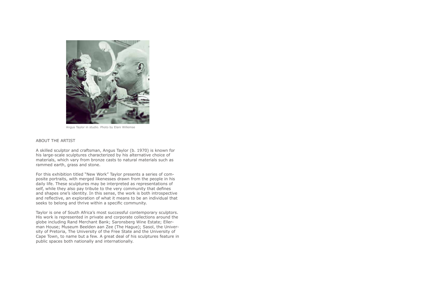## ABOUT THE ARTIST

A skilled sculptor and craftsman, Angus Taylor (b. 1970) is known for his large-scale sculptures characterized by his alternative choice of materials, which vary from bronze casts to natural materials such as rammed earth, grass and stone.

For this exhibition titled "New Work" Taylor presents a series of composite portraits, with merged likenesses drawn from the people in his daily life. These sculptures may be interpreted as representations of self, while they also pay tribute to the very community that defines and shapes one's identity. In this sense, the work is both introspective and reflective, an exploration of what it means to be an individual that seeks to belong and thrive within a specific community.

Taylor is one of South Africa's most successful contemporary sculptors. His work is represented in private and corporate collections around the globe including Rand Merchant Bank; Saronsberg Wine Estate; Ellerman House; Museum Beelden aan Zee (The Hague); Sasol, the University of Pretoria, The University of the Free State and the University of Cape Town, to name but a few. A great deal of his sculptures feature in public spaces both nationally and internationally.



Angus Taylor in studio. Photo by Elani Willemse